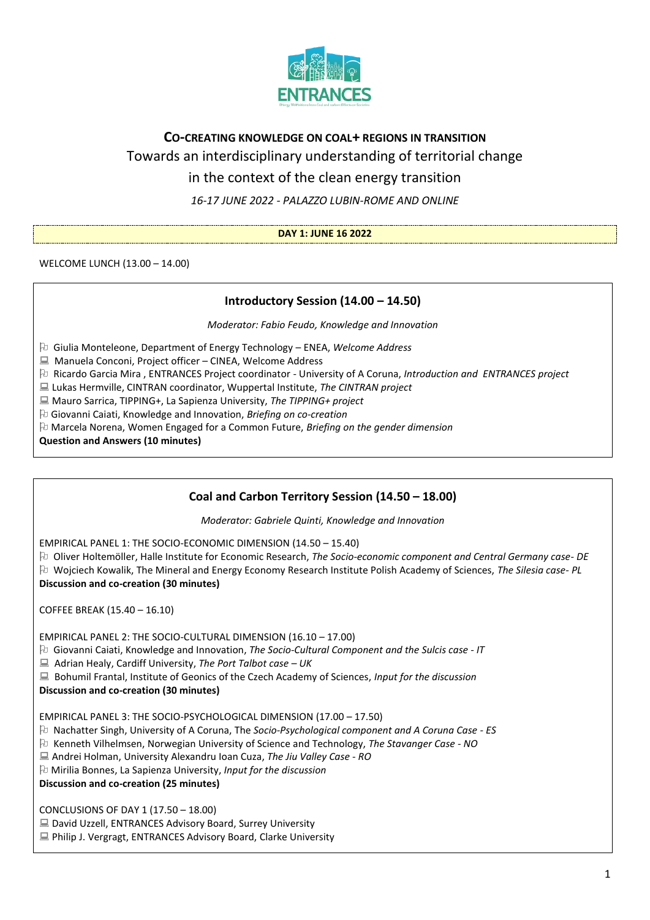

# **CO-CREATING KNOWLEDGE ON COAL+ REGIONS IN TRANSITION**

Towards an interdisciplinary understanding of territorial change

in the context of the clean energy transition

*16-17 JUNE 2022 - PALAZZO LUBIN-ROME AND ONLINE*

#### **DAY 1: JUNE 16 2022**

WELCOME LUNCH (13.00 – 14.00)

## **Introductory Session (14.00 – 14.50)**

*Moderator: Fabio Feudo, Knowledge and Innovation*

Giulia Monteleone, Department of Energy Technology – ENEA, *Welcome Address* 

■ Manuela Conconi, Project officer – CINEA, Welcome Address

Ricardo Garcia Mira , ENTRANCES Project coordinator - University of A Coruna, *Introduction and ENTRANCES project*

Lukas Hermville, CINTRAN coordinator, Wuppertal Institute, *The CINTRAN project*

Mauro Sarrica, TIPPING+, La Sapienza University, *The TIPPING+ project*

Giovanni Caiati, Knowledge and Innovation, *Briefing on co-creation*

Marcela Norena, Women Engaged for a Common Future, *Briefing on the gender dimension*

**Question and Answers (10 minutes)**

## **Coal and Carbon Territory Session (14.50 – 18.00)**

*Moderator: Gabriele Quinti, Knowledge and Innovation*

EMPIRICAL PANEL 1: THE SOCIO-ECONOMIC DIMENSION (14.50 – 15.40)

Oliver Holtemöller, Halle Institute for Economic Research, *The Socio-economic component and Central Germany case- DE* Wojciech Kowalik, The Mineral and Energy Economy Research Institute Polish Academy of Sciences, *The Silesia case- PL* **Discussion and co-creation (30 minutes)**

COFFEE BREAK (15.40 – 16.10)

EMPIRICAL PANEL 2: THE SOCIO-CULTURAL DIMENSION (16.10 – 17.00)

Giovanni Caiati, Knowledge and Innovation, *The Socio-Cultural Component and the Sulcis case - IT*

Adrian Healy, Cardiff University, *The Port Talbot case – UK*

Bohumil Frantal, Institute of Geonics of the Czech Academy of Sciences, *Input for the discussion*

#### **Discussion and co-creation (30 minutes)**

EMPIRICAL PANEL 3: THE SOCIO-PSYCHOLOGICAL DIMENSION (17.00 – 17.50)

Nachatter Singh, University of A Coruna, The *Socio-Psychological component and A Coruna Case - ES*

Kenneth Vilhelmsen, Norwegian University of Science and Technology, *The Stavanger Case - NO*

Andrei Holman, University Alexandru Ioan Cuza, *The Jiu Valley Case - RO*

Mirilia Bonnes, La Sapienza University, *Input for the discussion*

**Discussion and co-creation (25 minutes)**

CONCLUSIONS OF DAY 1 (17.50 – 18.00)

■ David Uzzell, ENTRANCES Advisory Board, Surrey University

■ Philip J. Vergragt, ENTRANCES Advisory Board, Clarke University